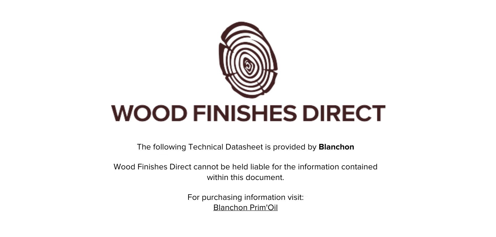

The following Technical Datasheet is provided by **Blanchon**

Wood Finishes Direct cannot be held liable for the information contained within this document

> For purchasing information visit: [Blanchon Prim'Oil](https://www.wood-finishes-direct.com/product/blanchon-prim-oil)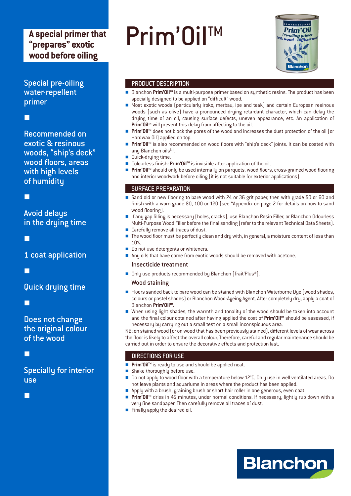## A special primer that "prepares" exotic wood before oiling

**Special pre-oiling** water-repellent primer

Recommended on exotic & resinous woods, "ship's deck" wood floors, areas with high levels of humidity

П

## **Avoid delays** in the drying time

П

1 coat application

### Quick drying time

П

Does not change the original colour of the wood

г

**Specially for interior use** 

г

# Prim'Oil<sup>™</sup>



#### PRODUCT DESCRIPTION

- Blanchon Prim'Oil™ is a multi-purpose primer based on synthetic resins. The product has been specially designed to be applied on "difficult" wood.
- Most exotic woods (particularly iroko, merbau, ipe and teak) and certain European resinous  $\mathbf{r}$ woods (such as olive) have a pronounced drying retardant character, which can delay the drying time of an oil, causing surface defects, uneven appearance, etc. An application of Prim'Oil<sup>™</sup> will prevent this delay from affecting to the oil.
- Prim'Oil™ does not block the pores of the wood and increases the dust protection of the oil (or Hardwax Oil) applied on top.
- Prim'Oil™ is also recommended on wood floors with "ship's deck" joints. It can be coated with  $\blacksquare$ any Blanchon oils<sup>(1)</sup>.
- **Quick-drying time.**
- Colourless finish: Prim'Oil<sup>™</sup> is invisible after application of the oil.
- Prim'Oil™ should only be used internally on parquets, wood floors, cross-grained wood flooring and interior woodwork before oiling (it is not suitable for exterior applications).

#### **SURFACE PREPARATION**

- Sand old or new flooring to bare wood with 24 or 36 grit paper, then with grade 50 or 60 and  $\overline{\phantom{a}}$ finish with a worn grade 80, 100 or 120 (see \*Appendix on page 2 for details on how to sand wood flooring].
- If any gap filling is necessary (holes, cracks), use Blanchon Resin Filler, or Blanchon Odourless Multi-Purpose Wood Filler before the final sanding (refer to the relevant Technical Data Sheets).
- Carefully remove all traces of dust.
- The wood floor must be perfectly clean and dry with, in general, a moisture content of less than 10%.
- Do not use detergents or whiteners.
- Any oils that have come from exotic woods should be removed with acetone.

#### Insecticide treatment

■ Only use products recommended by Blanchon (Trait'Plus®).

#### **Wood staining**

- Floors sanded back to bare wood can be stained with Blanchon Waterborne Dye (wood shades, colours or pastel shades) or Blanchon Wood-Ageing Agent. After completely dry, apply a coat of Blanchon Prim'Oil<sup>™</sup>.
- When using light shades, the warmth and tonality of the wood should be taken into account and the final colour obtained after having applied the coat of Prim'Oil™ should be assessed, if necessary by carrying out a small test on a small inconspicuous area.

NB: on stained wood (or on wood that has been previously stained), different levels of wear across the floor is likely to affect the overall colour. Therefore, careful and regular maintenance should be carried out in order to ensure the decorative effects and protection last.

#### **DIRECTIONS FOR USE**

- Prim'Oil<sup>™</sup> is ready to use and should be applied neat.
- Shake thoroughly before use.
- Do not apply to wood floor with a temperature below 12°C. Only use in well ventilated areas. Do  $\overline{\phantom{a}}$ not leave plants and aquariums in areas where the product has been applied.
- Apply with a brush, graining brush or short hair roller in one generous, even coat.
- Prim'Oil™ dries in 45 minutes, under normal conditions. If necessary, lightly rub down with a very fine sandpaper. Then carefully remove all traces of dust.
- $\blacksquare$  Finally apply the desired oil.